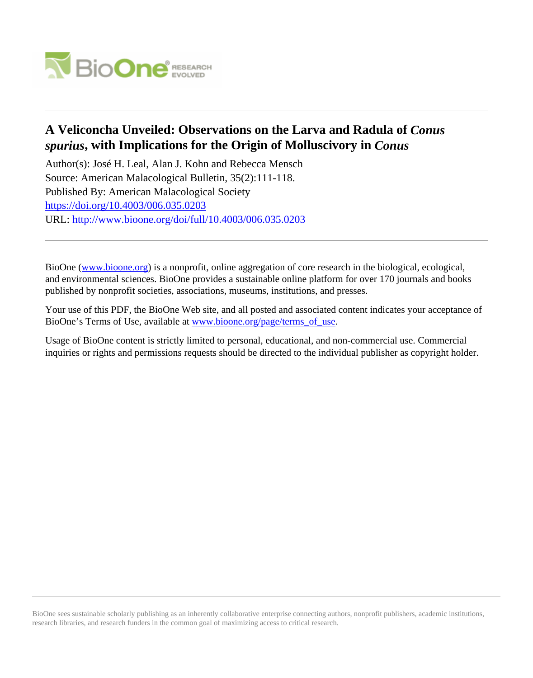

# **A Veliconcha Unveiled: Observations on the Larva and Radula of** *Conus spurius***, with Implications for the Origin of Molluscivory in** *Conus*

Author(s): José H. Leal, Alan J. Kohn and Rebecca Mensch Source: American Malacological Bulletin, 35(2):111-118. Published By: American Malacological Society <https://doi.org/10.4003/006.035.0203> URL: <http://www.bioone.org/doi/full/10.4003/006.035.0203>

BioOne [\(www.bioone.org\)](http://www.bioone.org) is a nonprofit, online aggregation of core research in the biological, ecological, and environmental sciences. BioOne provides a sustainable online platform for over 170 journals and books published by nonprofit societies, associations, museums, institutions, and presses.

Your use of this PDF, the BioOne Web site, and all posted and associated content indicates your acceptance of BioOne's Terms of Use, available at [www.bioone.org/page/terms\\_of\\_use.](http://www.bioone.org/page/terms_of_use)

Usage of BioOne content is strictly limited to personal, educational, and non-commercial use. Commercial inquiries or rights and permissions requests should be directed to the individual publisher as copyright holder.

BioOne sees sustainable scholarly publishing as an inherently collaborative enterprise connecting authors, nonprofit publishers, academic institutions, research libraries, and research funders in the common goal of maximizing access to critical research.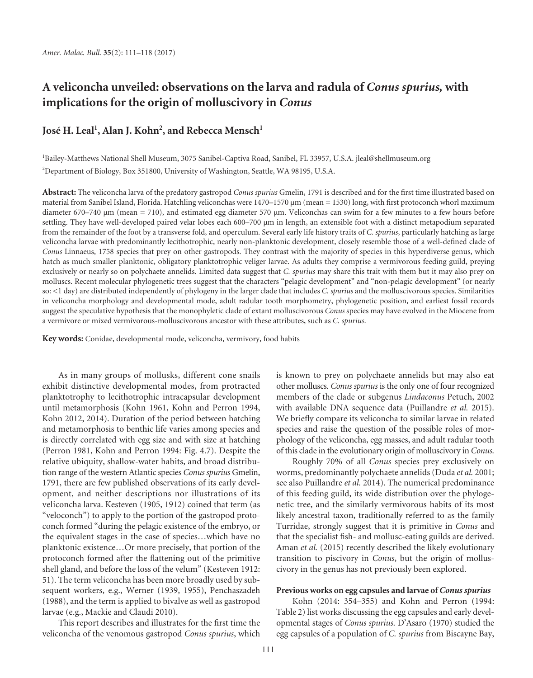# **A veliconcha unveiled: observations on the larva and radula of** *Conus spurius,* **with implications for the origin of molluscivory in** *Conus*

# José H. Leal<sup>1</sup>, Alan J. Kohn<sup>2</sup>, and Rebecca Mensch<sup>1</sup>

1 Bailey-Matthews National Shell Museum, 3075 Sanibel-Captiva Road, Sanibel, FL 33957, U.S.A. jleal@shellmuseum.org 2 Department of Biology, Box 351800, University of Washington, Seattle, WA 98195, U.S.A.

Abstract: The veliconcha larva of the predatory gastropod *Conus spurius* Gmelin, 1791 is described and for the first time illustrated based on material from Sanibel Island, Florida. Hatchling veliconchas were 1470–1570 μm (mean = 1530) long, with first protoconch whorl maximum diameter 670–740 μm (mean = 710), and estimated egg diameter 570 μm. Veliconchas can swim for a few minutes to a few hours before settling. They have well-developed paired velar lobes each 600–700 μm in length, an extensible foot with a distinct metapodium separated from the remainder of the foot by a transverse fold, and operculum. Several early life history traits of *C. spurius*, particularly hatching as large veliconcha larvae with predominantly lecithotrophic, nearly non-planktonic development, closely resemble those of a well-defined clade of *Conus* Linnaeus, 1758 species that prey on other gastropods. They contrast with the majority of species in this hyperdiverse genus, which hatch as much smaller planktonic, obligatory planktotrophic veliger larvae. As adults they comprise a vermivorous feeding guild, preying exclusively or nearly so on polychaete annelids. Limited data suggest that *C. spurius* may share this trait with them but it may also prey on molluscs. Recent molecular phylogenetic trees suggest that the characters "pelagic development" and "non-pelagic development" (or nearly so: <1 day) are distributed independently of phylogeny in the larger clade that includes *C. spurius* and the molluscivorous species. Similarities in veliconcha morphology and developmental mode, adult radular tooth morphometry, phylogenetic position, and earliest fossil records suggest the speculative hypothesis that the monophyletic clade of extant molluscivorous *Conus* species may have evolved in the Miocene from a vermivore or mixed vermivorous-molluscivorous ancestor with these attributes, such as *C. spurius*.

**Key words:** Conidae, developmental mode, veliconcha, vermivory, food habits

As in many groups of mollusks, different cone snails exhibit distinctive developmental modes, from protracted planktotrophy to lecithotrophic intracapsular development until metamorphosis (Kohn 1961, Kohn and Perron 1994, Kohn 2012, 2014). Duration of the period between hatching and metamorphosis to benthic life varies among species and is directly correlated with egg size and with size at hatching (Perron 1981, Kohn and Perron 1994: Fig. 4.7). Despite the relative ubiquity, shallow-water habits, and broad distribution range of the western Atlantic species *Conus spurius* Gmelin, 1791, there are few published observations of its early development, and neither descriptions nor illustrations of its veliconcha larva. Kesteven (1905, 1912) coined that term (as "veloconch") to apply to the portion of the gastropod protoconch formed "during the pelagic existence of the embryo, or the equivalent stages in the case of species…which have no planktonic existence…Or more precisely, that portion of the protoconch formed after the flattening out of the primitive shell gland, and before the loss of the velum" (Kesteven 1912: 51). The term veliconcha has been more broadly used by subsequent workers, e.g., Werner (1939, 1955), Penchaszadeh (1988), and the term is applied to bivalve as well as gastropod larvae (e.g., Mackie and Claudi 2010).

This report describes and illustrates for the first time the veliconcha of the venomous gastropod *Conus spurius*, which is known to prey on polychaete annelids but may also eat other molluscs. *Conus spurius* is the only one of four recognized members of the clade or subgenus *Lindaconus* Petuch, 2002 with available DNA sequence data (Puillandre *et al.* 2015). We briefly compare its veliconcha to similar larvae in related species and raise the question of the possible roles of morphology of the veliconcha, egg masses, and adult radular tooth of this clade in the evolutionary origin of molluscivory in *Conus*.

Roughly 70% of all *Conus* species prey exclusively on worms, predominantly polychaete annelids (Duda *et al.* 2001; see also Puillandre *et al.* 2014). The numerical predominance of this feeding guild, its wide distribution over the phylogenetic tree, and the similarly vermivorous habits of its most likely ancestral taxon, traditionally referred to as the family Turridae, strongly suggest that it is primitive in *Conus* and that the specialist fish- and mollusc-eating guilds are derived. Aman *et al.* (2015) recently described the likely evolutionary transition to piscivory in *Conus*, but the origin of molluscivory in the genus has not previously been explored.

# **Previous works on egg capsules and larvae of** *Conus spurius*

Kohn (2014: 354–355) and Kohn and Perron (1994: Table 2) list works discussing the egg capsules and early developmental stages of *Conus spurius*. D'Asaro (1970) studied the egg capsules of a population of *C. spurius* from Biscayne Bay,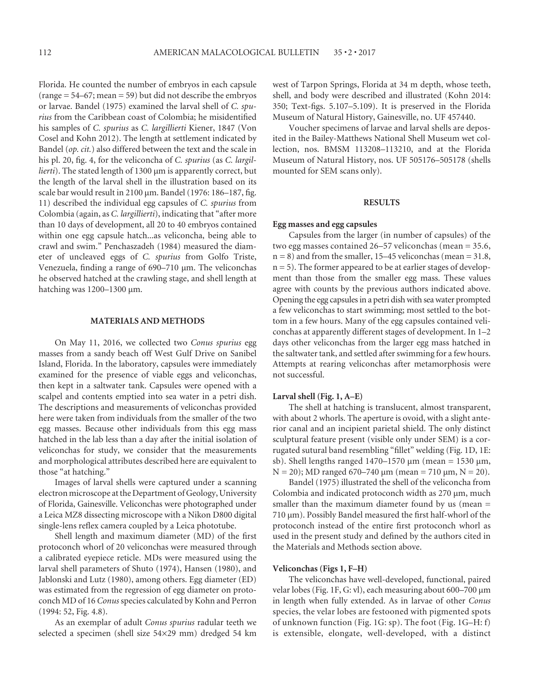Florida. He counted the number of embryos in each capsule  $(range = 54-67; mean = 59) but did not describe the embryos$ or larvae. Bandel (1975) examined the larval shell of *C. spurius* from the Caribbean coast of Colombia; he misidentified his samples of *C. spurius* as *C. largillierti* Kiener, 1847 (Von Cosel and Kohn 2012). The length at settlement indicated by Bandel (*op. cit.*) also differed between the text and the scale in his pl. 20, fig. 4, for the veliconcha of *C. spurius* (as *C. largillierti*). The stated length of 1300 μm is apparently correct, but the length of the larval shell in the illustration based on its scale bar would result in  $2100 \mu m$ . Bandel (1976: 186-187, fig. 11) described the individual egg capsules of *C. spurius* from Colombia (again, as *C. largillierti*), indicating that "after more than 10 days of development, all 20 to 40 embryos contained within one egg capsule hatch...as veliconcha, being able to crawl and swim." Penchaszadeh (1984) measured the diameter of uncleaved eggs of *C. spurius* from Golfo Triste, Venezuela, finding a range of  $690-710$  µm. The veliconchas he observed hatched at the crawling stage, and shell length at hatching was 1200–1300 μm.

#### **MATERIALS AND METHODS**

On May 11, 2016, we collected two *Conus spurius* egg masses from a sandy beach off West Gulf Drive on Sanibel Island, Florida. In the laboratory, capsules were immediately examined for the presence of viable eggs and veliconchas, then kept in a saltwater tank. Capsules were opened with a scalpel and contents emptied into sea water in a petri dish. The descriptions and measurements of veliconchas provided here were taken from individuals from the smaller of the two egg masses. Because other individuals from this egg mass hatched in the lab less than a day after the initial isolation of veliconchas for study, we consider that the measurements and morphological attributes described here are equivalent to those "at hatching."

Images of larval shells were captured under a scanning electron microscope at the Department of Geology, University of Florida, Gainesville. Veliconchas were photographed under a Leica MZ8 dissecting microscope with a Nikon D800 digital single-lens reflex camera coupled by a Leica phototube.

Shell length and maximum diameter (MD) of the first protoconch whorl of 20 veliconchas were measured through a calibrated eyepiece reticle. MDs were measured using the larval shell parameters of Shuto (1974), Hansen (1980), and Jablonski and Lutz (1980), among others. Egg diameter (ED) was estimated from the regression of egg diameter on protoconch MD of 16 *Conus* species calculated by Kohn and Perron (1994: 52, Fig. 4.8).

As an exemplar of adult *Conus spurius* radular teeth we selected a specimen (shell size 54×29 mm) dredged 54 km

west of Tarpon Springs, Florida at 34 m depth, whose teeth, shell, and body were described and illustrated (Kohn 2014:  $350$ ; Text-figs.  $5.107 - 5.109$ ). It is preserved in the Florida Museum of Natural History, Gainesville, no. UF 457440.

Voucher specimens of larvae and larval shells are deposited in the Bailey-Matthews National Shell Museum wet collection, nos. BMSM 113208–113210, and at the Florida Museum of Natural History, nos. UF 505176–505178 (shells mounted for SEM scans only).

#### **RESULTS**

#### **Egg masses and egg capsules**

Capsules from the larger (in number of capsules) of the two egg masses contained 26–57 veliconchas (mean = 35.6,  $n = 8$ ) and from the smaller, 15–45 veliconchas (mean = 31.8, n = 5). The former appeared to be at earlier stages of development than those from the smaller egg mass. These values agree with counts by the previous authors indicated above. Opening the egg capsules in a petri dish with sea water prompted a few veliconchas to start swimming; most settled to the bottom in a few hours. Many of the egg capsules contained veliconchas at apparently different stages of development. In 1–2 days other veliconchas from the larger egg mass hatched in the saltwater tank, and settled after swimming for a few hours. Attempts at rearing veliconchas after metamorphosis were not successful.

#### **Larval shell (Fig. 1, A–E)**

The shell at hatching is translucent, almost transparent, with about 2 whorls. The aperture is ovoid, with a slight anterior canal and an incipient parietal shield. The only distinct sculptural feature present (visible only under SEM) is a corrugated sutural band resembling "fillet" welding (Fig. 1D, 1E: sb). Shell lengths ranged 1470–1570 μm (mean = 1530 μm,  $N = 20$ ); MD ranged 670–740 μm (mean = 710 μm, N = 20).

Bandel (1975) illustrated the shell of the veliconcha from Colombia and indicated protoconch width as 270 μm, much smaller than the maximum diameter found by us (mean = 710 μm). Possibly Bandel measured the first half-whorl of the protoconch instead of the entire first protoconch whorl as used in the present study and defined by the authors cited in the Materials and Methods section above.

#### **Veliconchas (Figs 1, F–H)**

The veliconchas have well-developed, functional, paired velar lobes (Fig. 1F, G: vl), each measuring about 600–700 μm in length when fully extended. As in larvae of other *Conus* species, the velar lobes are festooned with pigmented spots of unknown function (Fig. 1G: sp). The foot (Fig. 1G–H: f) is extensible, elongate, well-developed, with a distinct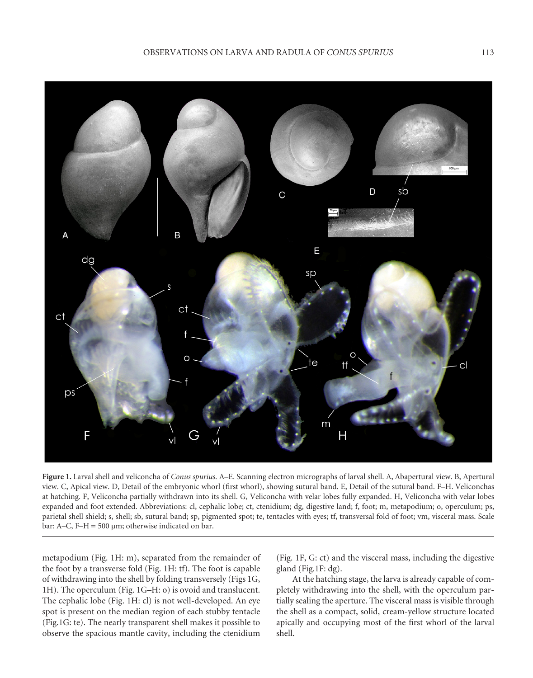

**Figure 1.** Larval shell and veliconcha of *Conus spurius*. A–E. Scanning electron micrographs of larval shell. A, Abapertural view. B, Apertural view. C, Apical view. D, Detail of the embryonic whorl (first whorl), showing sutural band. E, Detail of the sutural band. F–H. Veliconchas at hatching. F, Veliconcha partially withdrawn into its shell. G, Veliconcha with velar lobes fully expanded. H, Veliconcha with velar lobes expanded and foot extended. Abbreviations: cl, cephalic lobe; ct, ctenidium; dg, digestive land; f, foot; m, metapodium; o, operculum; ps, parietal shell shield; s, shell; sb, sutural band; sp, pigmented spot; te, tentacles with eyes; tf, transversal fold of foot; vm, visceral mass. Scale bar: A–C, F–H =  $500 \mu m$ ; otherwise indicated on bar.

metapodium (Fig. 1H: m), separated from the remainder of the foot by a transverse fold (Fig. 1H: tf). The foot is capable of withdrawing into the shell by folding transversely (Figs 1G, 1H). The operculum (Fig. 1G–H: o) is ovoid and translucent. The cephalic lobe (Fig. 1H: cl) is not well-developed. An eye spot is present on the median region of each stubby tentacle (Fig.1G: te). The nearly transparent shell makes it possible to observe the spacious mantle cavity, including the ctenidium

(Fig. 1F, G: ct) and the visceral mass, including the digestive gland (Fig.1F: dg).

At the hatching stage, the larva is already capable of completely withdrawing into the shell, with the operculum partially sealing the aperture. The visceral mass is visible through the shell as a compact, solid, cream-yellow structure located apically and occupying most of the first whorl of the larval shell.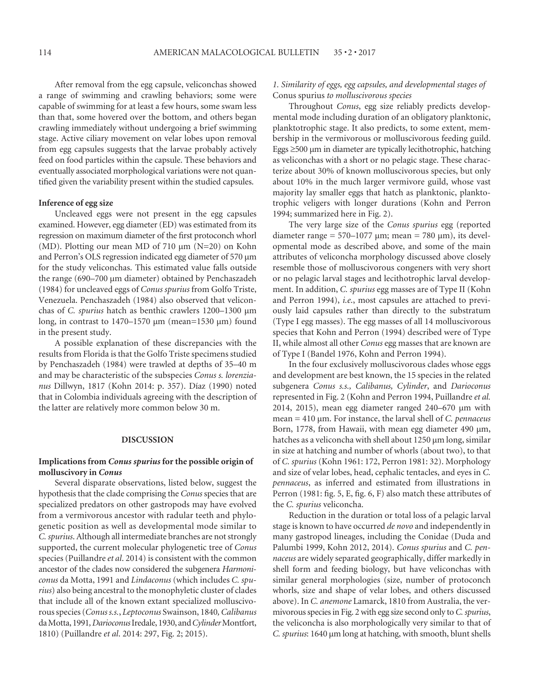After removal from the egg capsule, veliconchas showed a range of swimming and crawling behaviors; some were capable of swimming for at least a few hours, some swam less than that, some hovered over the bottom, and others began crawling immediately without undergoing a brief swimming stage. Active ciliary movement on velar lobes upon removal from egg capsules suggests that the larvae probably actively feed on food particles within the capsule. These behaviors and eventually associated morphological variations were not quantified given the variability present within the studied capsules.

#### **Inference of egg size**

Uncleaved eggs were not present in the egg capsules examined. However, egg diameter (ED) was estimated from its regression on maximum diameter of the first protoconch whorl (MD). Plotting our mean MD of 710 μm (N=20) on Kohn and Perron's OLS regression indicated egg diameter of 570 μm for the study veliconchas. This estimated value falls outside the range (690–700 μm diameter) obtained by Penchaszadeh (1984) for uncleaved eggs of *Conus spurius* from Golfo Triste, Venezuela. Penchaszadeh (1984) also observed that veliconchas of *C. spurius* hatch as benthic crawlers 1200–1300 μm long, in contrast to 1470–1570 μm (mean=1530 μm) found in the present study.

A possible explanation of these discrepancies with the results from Florida is that the Golfo Triste specimens studied by Penchaszadeh (1984) were trawled at depths of 35–40 m and may be characteristic of the subspecies *Conus s. lorenzianus* Dillwyn, 1817 (Kohn 2014: p. 357). Díaz (1990) noted that in Colombia individuals agreeing with the description of the latter are relatively more common below 30 m.

#### **DISCUSSION**

### **Implications from** *Conus spurius* **for the possible origin of molluscivory in** *Conus*

Several disparate observations, listed below, suggest the hypothesis that the clade comprising the *Conus* species that are specialized predators on other gastropods may have evolved from a vermivorous ancestor with radular teeth and phylogenetic position as well as developmental mode similar to *C. spurius*. Although all intermediate branches are not strongly supported, the current molecular phylogenetic tree of *Conus* species (Puillandre *et al*. 2014) is consistent with the common ancestor of the clades now considered the subgenera *Harmoniconus* da Motta, 1991 and *Lindaconus* (which includes *C. spurius*) also being ancestral to the monophyletic cluster of clades that include all of the known extant specialized molluscivorous species (*Conuss.s.*, *Leptoconus* Swainson, 1840*, Calibanus* da Motta, 1991*, Darioconus* Iredale, 1930, and *Cylinder* Montfort, 1810) (Puillandre *et al*. 2014: 297, Fig. 2; 2015).

## *1. Similarity of eggs, egg capsules, and developmental stages of*  Conus spurius *to molluscivorous species*

Throughout *Conus*, egg size reliably predicts developmental mode including duration of an obligatory planktonic, planktotrophic stage. It also predicts, to some extent, membership in the vermivorous or molluscivorous feeding guild. Eggs  $\geq$ 500 μm in diameter are typically lecithotrophic, hatching as veliconchas with a short or no pelagic stage. These characterize about 30% of known molluscivorous species, but only about 10% in the much larger vermivore guild, whose vast majority lay smaller eggs that hatch as planktonic, planktotrophic veligers with longer durations (Kohn and Perron 1994; summarized here in Fig. 2).

The very large size of the *Conus spurius* egg (reported diameter range =  $570-1077$  µm; mean =  $780$  µm), its developmental mode as described above, and some of the main attributes of veliconcha morphology discussed above closely resemble those of molluscivorous congeners with very short or no pelagic larval stages and lecithotrophic larval development. In addition, *C. spurius* egg masses are of Type II (Kohn and Perron 1994), *i.e*., most capsules are attached to previously laid capsules rather than directly to the substratum (Type I egg masses). The egg masses of all 14 molluscivorous species that Kohn and Perron (1994) described were of Type II, while almost all other *Conus* egg masses that are known are of Type I (Bandel 1976, Kohn and Perron 1994).

In the four exclusively molluscivorous clades whose eggs and development are best known, the 15 species in the related subgenera *Conus s.s., Calibanus, Cylinder*, and *Darioconus* represented in Fig. 2 (Kohn and Perron 1994, Puillandre *et al.* 2014, 2015), mean egg diameter ranged 240–670 μm with mean = 410 μm. For instance, the larval shell of *C. pennaceus* Born, 1778, from Hawaii, with mean egg diameter 490 μm, hatches as a veliconcha with shell about 1250 μm long, similar in size at hatching and number of whorls (about two), to that of *C. spurius* (Kohn 1961: 172, Perron 1981: 32). Morphology and size of velar lobes, head, cephalic tentacles, and eyes in *C. pennaceus*, as inferred and estimated from illustrations in Perron (1981: fig. 5, E, fig. 6, F) also match these attributes of the *C. spurius* veliconcha.

Reduction in the duration or total loss of a pelagic larval stage is known to have occurred *de novo* and independently in many gastropod lineages, including the Conidae (Duda and Palumbi 1999, Kohn 2012, 2014). *Conus spurius* and *C. pennaceus* are widely separated geographically, differ markedly in shell form and feeding biology, but have veliconchas with similar general morphologies (size, number of protoconch whorls, size and shape of velar lobes, and others discussed above). In *C. anemone* Lamarck, 1810 from Australia, the vermivorous species in Fig. 2 with egg size second only to *C. spurius*, the veliconcha is also morphologically very similar to that of *C. spurius*: 1640 μm long at hatching, with smooth, blunt shells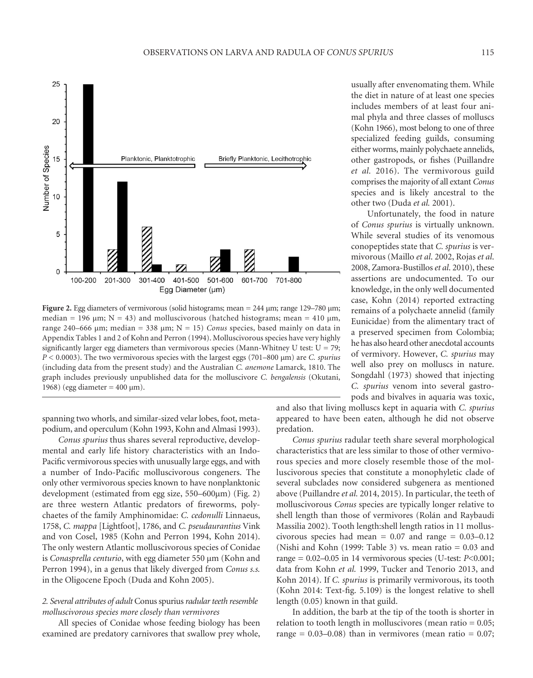

**Figure 2.** Egg diameters of vermivorous (solid histograms; mean = 244 μm; range 129–780 μm; median = 196  $\mu$ m; N = 43) and molluscivorous (hatched histograms; mean = 410  $\mu$ m, range 240–666  $\mu$ m; median = 338  $\mu$ m; N = 15) *Conus* species, based mainly on data in Appendix Tables 1 and 2 of Kohn and Perron (1994). Molluscivorous species have very highly significantly larger egg diameters than vermivorous species (Mann-Whitney U test:  $U = 79$ ; *P* < 0.0003). The two vermivorous species with the largest eggs (701–800 μm) are *C. spurius* (including data from the present study) and the Australian *C. anemone* Lamarck, 1810. The graph includes previously unpublished data for the molluscivore *C. bengalensis* (Okutani, 1968) (egg diameter =  $400 \mu m$ ).

spanning two whorls, and similar-sized velar lobes, foot, metapodium, and operculum (Kohn 1993, Kohn and Almasi 1993).

*Conus spurius* thus shares several reproductive, developmental and early life history characteristics with an Indo-Pacific vermivorous species with unusually large eggs, and with a number of Indo-Pacific molluscivorous congeners. The only other vermivorous species known to have nonplanktonic development (estimated from egg size, 550–600μm) (Fig. 2) are three western Atlantic predators of fireworms, polychaetes of the family Amphinomidae: *C. cedonulli* Linnaeus, 1758, *C. mappa* [Lightfoot], 1786, and *C. pseudaurantius* Vink and von Cosel, 1985 (Kohn and Perron 1994, Kohn 2014). The only western Atlantic molluscivorous species of Conidae is *Conasprella centurio*, with egg diameter 550 μm (Kohn and Perron 1994), in a genus that likely diverged from *Conus s.s.* in the Oligocene Epoch (Duda and Kohn 2005).

### *2. Several attributes of adult* Conus spurius *radular teeth resemble molluscivorous species more closely than vermivores*

All species of Conidae whose feeding biology has been examined are predatory carnivores that swallow prey whole,

usually after envenomating them. While the diet in nature of at least one species includes members of at least four animal phyla and three classes of molluscs (Kohn 1966), most belong to one of three specialized feeding guilds, consuming either worms, mainly polychaete annelids, other gastropods, or fishes (Puillandre *et al.* 2016). The vermivorous guild comprises the majority of all extant *Conus* species and is likely ancestral to the other two (Duda *et al.* 2001).

Unfortunately, the food in nature of *Conus spurius* is virtually unknown. While several studies of its venomous conopeptides state that *C. spurius* is vermivorous (Maillo *et al*. 2002, Rojas *et al*. 2008, Zamora-Bustillos *et al*. 2010), these assertions are undocumented. To our knowledge, in the only well documented case, Kohn (2014) reported extracting remains of a polychaete annelid (family Eunicidae) from the alimentary tract of a preserved specimen from Colombia; he has also heard other anecdotal accounts of vermivory. However, *C. spurius* may well also prey on molluscs in nature. Songdahl (1973) showed that injecting *C. spurius* venom into several gastropods and bivalves in aquaria was toxic,

and also that living molluscs kept in aquaria with *C. spurius* appeared to have been eaten, although he did not observe predation.

*Conus spurius* radular teeth share several morphological characteristics that are less similar to those of other vermivorous species and more closely resemble those of the molluscivorous species that constitute a monophyletic clade of several subclades now considered subgenera as mentioned above (Puillandre *et al.* 2014, 2015). In particular, the teeth of molluscivorous *Conus* species are typically longer relative to shell length than those of vermivores (Rolán and Raybaudi Massilia 2002). Tooth length:shell length ratios in 11 molluscivorous species had mean =  $0.07$  and range =  $0.03-0.12$ (Nishi and Kohn (1999: Table 3) vs. mean ratio  $= 0.03$  and range = 0.02–0.05 in 14 vermivorous species (U-test: *P*<0.001; data from Kohn *et al.* 1999, Tucker and Tenorio 2013, and Kohn 2014). If *C. spurius* is primarily vermivorous, its tooth (Kohn 2014: Text-fig.  $5.109$ ) is the longest relative to shell length (0.05) known in that guild.

In addition, the barb at the tip of the tooth is shorter in relation to tooth length in molluscivores (mean ratio = 0.05; range =  $0.03-0.08$ ) than in vermivores (mean ratio =  $0.07$ ;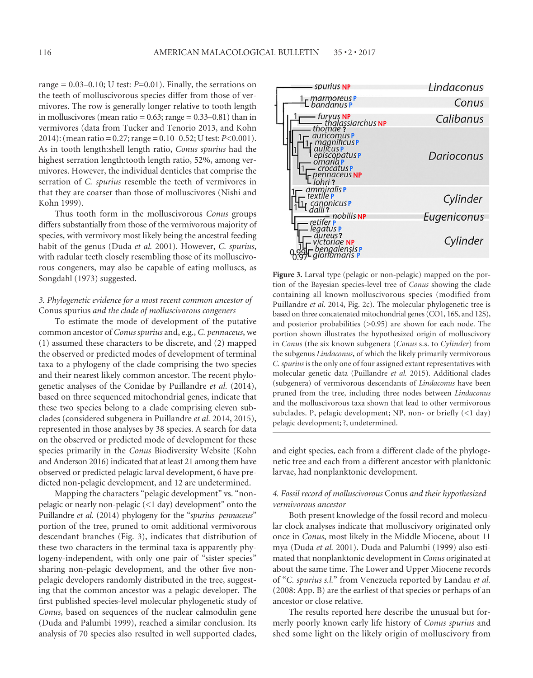range =  $0.03-0.10$ ; U test:  $P=0.01$ ). Finally, the serrations on the teeth of molluscivorous species differ from those of vermivores. The row is generally longer relative to tooth length in molluscivores (mean ratio  $= 0.63$ ; range  $= 0.33 - 0.81$ ) than in vermivores (data from Tucker and Tenorio 2013, and Kohn 2014): (mean ratio = 0.27; range = 0.10–0.52; U test: *P*<0.001). As in tooth length:shell length ratio, *Conus spurius* had the highest serration length:tooth length ratio, 52%, among vermivores. However, the individual denticles that comprise the serration of *C. spurius* resemble the teeth of vermivores in that they are coarser than those of molluscivores (Nishi and Kohn 1999).

Thus tooth form in the molluscivorous *Conus* groups differs substantially from those of the vermivorous majority of species, with vermivory most likely being the ancestral feeding habit of the genus (Duda *et al.* 2001). However, *C. spurius*, with radular teeth closely resembling those of its molluscivorous congeners, may also be capable of eating molluscs, as Songdahl (1973) suggested.

#### *3. Phylogenetic evidence for a most recent common ancestor of*  Conus spurius *and the clade of molluscivorous congeners*

To estimate the mode of development of the putative common ancestor of *Conus spurius* and, e.g., *C. pennaceus*, we (1) assumed these characters to be discrete, and (2) mapped the observed or predicted modes of development of terminal taxa to a phylogeny of the clade comprising the two species and their nearest likely common ancestor. The recent phylogenetic analyses of the Conidae by Puillandre *et al.* (2014), based on three sequenced mitochondrial genes, indicate that these two species belong to a clade comprising eleven subclades (considered subgenera in Puillandre *et al.* 2014, 2015), represented in those analyses by 38 species. A search for data on the observed or predicted mode of development for these species primarily in the *Conus* Biodiversity Website (Kohn and Anderson 2016) indicated that at least 21 among them have observed or predicted pelagic larval development, 6 have predicted non-pelagic development, and 12 are undetermined.

Mapping the characters "pelagic development" vs. "nonpelagic or nearly non-pelagic (<1 day) development" onto the Puillandre *et al.* (2014) phylogeny for the "*spurius–pennaceus*" portion of the tree, pruned to omit additional vermivorous descendant branches (Fig. 3), indicates that distribution of these two characters in the terminal taxa is apparently phylogeny-independent, with only one pair of "sister species" sharing non-pelagic development, and the other five nonpelagic developers randomly distributed in the tree, suggesting that the common ancestor was a pelagic developer. The first published species-level molecular phylogenetic study of *Conus*, based on sequences of the nuclear calmodulin gene (Duda and Palumbi 1999), reached a similar conclusion. Its analysis of 70 species also resulted in well supported clades,



Figure 3. Larval type (pelagic or non-pelagic) mapped on the portion of the Bayesian species-level tree of *Conus* showing the clade containing all known molluscivorous species (modified from Puillandre *et al*. 2014, Fig. 2c). The molecular phylogenetic tree is based on three concatenated mitochondrial genes (CO1, 16S, and 12S), and posterior probabilities (>0.95) are shown for each node. The portion shown illustrates the hypothesized origin of molluscivory in *Conus* (the six known subgenera (*Conus* s.s. to *Cylinder*) from the subgenus *Lindaconus*, of which the likely primarily vermivorous *C. spurius* is the only one of four assigned extant representatives with molecular genetic data (Puillandre *et al.* 2015). Additional clades (subgenera) of vermivorous descendants of *Lindaconus* have been pruned from the tree, including three nodes between *Lindaconus* and the molluscivorous taxa shown that lead to other vermivorous subclades. P, pelagic development; NP, non- or briefly (<1 day) pelagic development; ?, undetermined.

and eight species, each from a different clade of the phylogenetic tree and each from a different ancestor with planktonic larvae, had nonplanktonic development.

# *4. Fossil record of molluscivorous* Conus *and their hypothesized vermivorous ancestor*

Both present knowledge of the fossil record and molecular clock analyses indicate that molluscivory originated only once in *Conus*, most likely in the Middle Miocene, about 11 mya (Duda *et al.* 2001). Duda and Palumbi (1999) also estimated that nonplanktonic development in *Conus* originated at about the same time. The Lower and Upper Miocene records of "*C. spurius s.l.*" from Venezuela reported by Landau *et al.* (2008: App. B) are the earliest of that species or perhaps of an ancestor or close relative.

The results reported here describe the unusual but formerly poorly known early life history of *Conus spurius* and shed some light on the likely origin of molluscivory from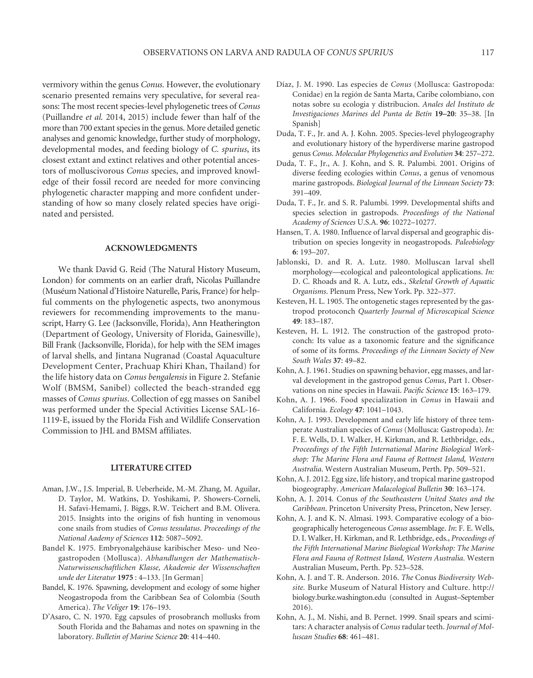vermivory within the genus *Conus.* However, the evolutionary scenario presented remains very speculative, for several reasons: The most recent species-level phylogenetic trees of *Conus* (Puillandre *et al.* 2014, 2015) include fewer than half of the more than 700 extant species in the genus. More detailed genetic analyses and genomic knowledge, further study of morphology, developmental modes, and feeding biology of *C. spurius*, its closest extant and extinct relatives and other potential ancestors of molluscivorous *Conus* species, and improved knowledge of their fossil record are needed for more convincing phylogenetic character mapping and more confident understanding of how so many closely related species have originated and persisted.

#### **ACKNOWLEDGMENTS**

We thank David G. Reid (The Natural History Museum, London) for comments on an earlier draft, Nicolas Puillandre (Muséum National d'Histoire Naturelle, Paris, France) for helpful comments on the phylogenetic aspects, two anonymous reviewers for recommending improvements to the manuscript, Harry G. Lee (Jacksonville, Florida), Ann Heatherington (Department of Geology, University of Florida, Gainesville), Bill Frank (Jacksonville, Florida), for help with the SEM images of larval shells, and Jintana Nugranad (Coastal Aquaculture Development Center, Prachuap Khiri Khan, Thailand) for the life history data on *Conus bengalensis* in Figure 2. Stefanie Wolf (BMSM, Sanibel) collected the beach-stranded egg masses of *Conus spurius*. Collection of egg masses on Sanibel was performed under the Special Activities License SAL-16- 1119-E, issued by the Florida Fish and Wildlife Conservation Commission to JHL and BMSM affiliates.

#### **LITERATURE CITED**

- Aman, J.W., J.S. Imperial, B. Ueberheide, M.-M. Zhang, M. Aguilar, D. Taylor, M. Watkins, D. Yoshikami, P. Showers-Corneli, H. Safavi-Hemami, J. Biggs, R.W. Teichert and B.M. Olivera. 2015. Insights into the origins of fish hunting in venomous cone snails from studies of *Conus tessulatus*. *Proceedings of the National Aademy of Sciences* **112**: 5087–5092.
- Bandel K. 1975. Embryonalgehäuse karibischer Meso- und Neogastropoden (Mollusca). *Abhandlungen der Mathematisch-Naturwissenschaftlichen Klasse, Akademie der Wissenschaften unde der Literatur* **1975** : 4–133. [In German]
- Bandel, K. 1976. Spawning, development and ecology of some higher Neogastropoda from the Caribbean Sea of Colombia (South America). *The Veliger* **19**: 176–193.
- D'Asaro, C. N. 1970. Egg capsules of prosobranch mollusks from South Florida and the Bahamas and notes on spawning in the laboratory. *Bulletin of Marine Science* **20**: 414–440.
- Díaz, J. M. 1990. Las especies de *Conus* (Mollusca: Gastropoda: Conidae) en la región de Santa Marta, Caribe colombiano, con notas sobre su ecologia y distribucion. *Anales del Instituto de Investigaciones Marines del Punta de Betín* **19–20**: 35–38. [In Spanish]
- Duda, T. F., Jr. and A. J. Kohn. 2005. Species-level phylogeography and evolutionary history of the hyperdiverse marine gastropod genus *Conus*. *Molecular Phylogenetics and Evolution* **34**: 257–272.
- Duda, T. F., Jr., A. J. Kohn, and S. R. Palumbi. 2001. Origins of diverse feeding ecologies within *Conus*, a genus of venomous marine gastropods. *Biological Journal of the Linnean Society* **73**: 391–409.
- Duda, T. F., Jr. and S. R. Palumbi. 1999. Developmental shifts and species selection in gastropods. *Proceedings of the National Academy of Sciences* U.S.A. **96**: 10272–10277.
- Hansen, T. A. 1980. Influence of larval dispersal and geographic distribution on species longevity in neogastropods. *Paleobiology* **6**: 193–207.
- Jablonski, D. and R. A. Lutz. 1980. Molluscan larval shell morphology—ecological and paleontological applications. *In:* D. C. Rhoads and R. A. Lutz, eds., *Skeletal Growth of Aquatic Organisms*. Plenum Press, New York. Pp. 322–377.
- Kesteven, H. L. 1905. The ontogenetic stages represented by the gastropod protoconch *Quarterly Journal of Microscopical Science*  **49**: 183–187.
- Kesteven, H. L. 1912. The construction of the gastropod protoconch: Its value as a taxonomic feature and the significance of some of its forms. *Proceedings of the Linnean Society of New South Wales* **37**: 49–82.
- Kohn, A. J. 1961. Studies on spawning behavior, egg masses, and larval development in the gastropod genus *Conus*, Part 1. Observations on nine species in Hawaii. *Pacific Science* 15: 163-179.
- Kohn, A. J. 1966. Food specialization in *Conus* in Hawaii and California. *Ecology* **47**: 1041–1043.
- Kohn, A. J. 1993. Development and early life history of three temperate Australian species of *Conus* (Mollusca: Gastropoda). *In:* F. E. Wells, D. I. Walker, H. Kirkman, and R. Lethbridge, eds., *Proceedings of the Fifth International Marine Biological Workshop: The Marine Flora and Fauna of Rottnest Island, Western Australia*. Western Australian Museum, Perth. Pp. 509–521.
- Kohn, A. J. 2012. Egg size, life history, and tropical marine gastropod biogeography. *American Malacological Bulletin* **30**: 163–174.
- Kohn, A. J. 2014*.* Conus *of the Southeastern United States and the Caribbean*. Princeton University Press, Princeton, New Jersey.
- Kohn, A. J. and K. N. Almasi. 1993. Comparative ecology of a biogeographically heterogeneous *Conus* assemblage. *In*: F. E. Wells, D. I. Walker, H. Kirkman, and R. Lethbridge, eds., *Proceedings of the Fifth International Marine Biological Workshop: The Marine Flora and Fauna of Rottnest Island, Western Australia*. Western Australian Museum, Perth. Pp. 523–528.
- Kohn, A. J. and T. R. Anderson. 2016. *The* Conus *Biodiversity Website.* Burke Museum of Natural History and Culture. http:// biology.burke.washington.edu (consulted in August–September 2016).
- Kohn, A. J., M. Nishi, and B. Pernet. 1999. Snail spears and scimitars: A character analysis of *Conus* radular teeth. *Journal of Molluscan Studies* **68**: 461–481.